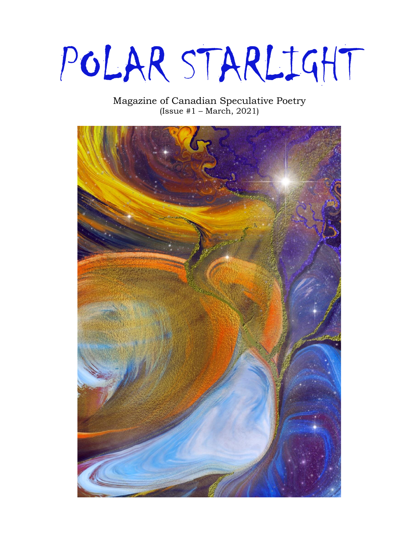POLAR STARLIGHT

## Magazine of Canadian Speculative Poetry (Issue  $#1 - March, 2021$ )

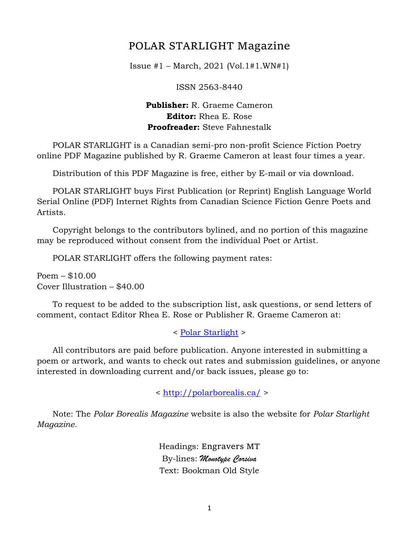# POLAR STARLIGHT Magazine

Issue #1 – March, 2021 (Vol.1#1.WN#1)

ISSN 2563-8440

### **Publisher:** R. Graeme Cameron **Editor:** Rhea E. Rose **Proofreader:** Steve Fahnestalk

 POLAR STARLIGHT is a Canadian semi-pro non-profit Science Fiction Poetry online PDF Magazine published by R. Graeme Cameron at least four times a year.

Distribution of this PDF Magazine is free, either by E-mail or via download.

 POLAR STARLIGHT buys First Publication (or Reprint) English Language World Serial Online (PDF) Internet Rights from Canadian Science Fiction Genre Poets and Artists.

 Copyright belongs to the contributors bylined, and no portion of this magazine may be reproduced without consent from the individual Poet or Artist.

POLAR STARLIGHT offers the following payment rates:

Poem – \$10.00 Cover Illustration – \$40.00

 To request to be added to the subscription list, ask questions, or send letters of comment, contact Editor Rhea E. Rose or Publisher R. Graeme Cameron at:

< [Polar Starlight](mailto:polar.borealis.magazine@gmail.com) >

 All contributors are paid before publication. Anyone interested in submitting a poem or artwork, and wants to check out rates and submission guidelines, or anyone interested in downloading current and/or back issues, please go to:

<<http://polarborealis.ca/> >

 Note: The *Polar Borealis Magazine* website is also the website for *Polar Starlight Magazine.*

> Headings: Engravers MT By-lines: *Monotype Corsiva* Text: Bookman Old Style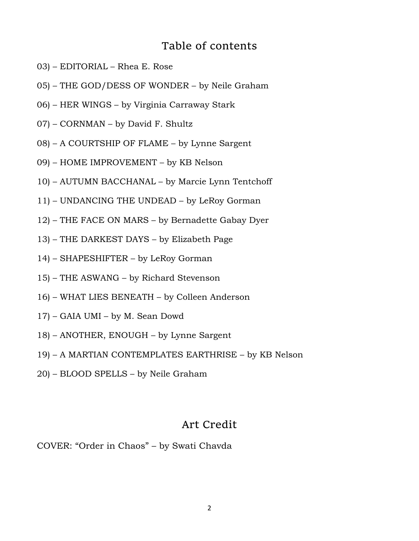# Table of contents

- 03) EDITORIAL Rhea E. Rose
- 05) THE GOD/DESS OF WONDER by Neile Graham
- 06) HER WINGS by Virginia Carraway Stark
- 07) CORNMAN by David F. Shultz
- 08) A COURTSHIP OF FLAME by Lynne Sargent
- 09) HOME IMPROVEMENT by KB Nelson
- 10) AUTUMN BACCHANAL by Marcie Lynn Tentchoff
- 11) UNDANCING THE UNDEAD by LeRoy Gorman
- 12) THE FACE ON MARS by Bernadette Gabay Dyer
- 13) THE DARKEST DAYS by Elizabeth Page
- 14) SHAPESHIFTER by LeRoy Gorman
- 15) THE ASWANG by Richard Stevenson
- 16) WHAT LIES BENEATH by Colleen Anderson
- 17) GAIA UMI by M. Sean Dowd
- 18) ANOTHER, ENOUGH by Lynne Sargent
- 19) A MARTIAN CONTEMPLATES EARTHRISE by KB Nelson
- 20) BLOOD SPELLS by Neile Graham

## Art Credit

COVER: "Order in Chaos" – by Swati Chavda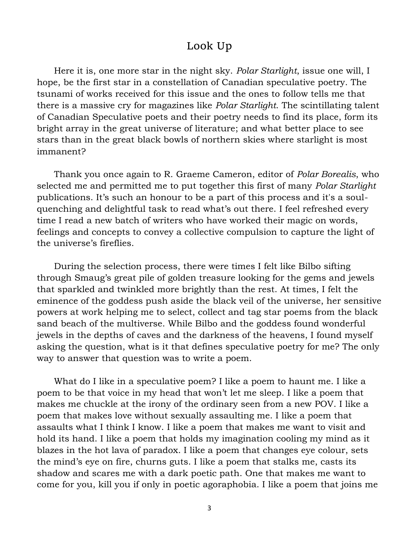# Look Up

 Here it is, one more star in the night sky. *Polar Starlight*, issue one will, I hope, be the first star in a constellation of Canadian speculative poetry. The tsunami of works received for this issue and the ones to follow tells me that there is a massive cry for magazines like *Polar Starlight*. The scintillating talent of Canadian Speculative poets and their poetry needs to find its place, form its bright array in the great universe of literature; and what better place to see stars than in the great black bowls of northern skies where starlight is most immanent?

 Thank you once again to R. Graeme Cameron, editor of *Polar Borealis*, who selected me and permitted me to put together this first of many *Polar Starlight* publications. It's such an honour to be a part of this process and it's a soulquenching and delightful task to read what's out there. I feel refreshed every time I read a new batch of writers who have worked their magic on words, feelings and concepts to convey a collective compulsion to capture the light of the universe's fireflies.

 During the selection process, there were times I felt like Bilbo sifting through Smaug's great pile of golden treasure looking for the gems and jewels that sparkled and twinkled more brightly than the rest. At times, I felt the eminence of the goddess push aside the black veil of the universe, her sensitive powers at work helping me to select, collect and tag star poems from the black sand beach of the multiverse. While Bilbo and the goddess found wonderful jewels in the depths of caves and the darkness of the heavens, I found myself asking the question, what is it that defines speculative poetry for me? The only way to answer that question was to write a poem.

 What do I like in a speculative poem? I like a poem to haunt me. I like a poem to be that voice in my head that won't let me sleep. I like a poem that makes me chuckle at the irony of the ordinary seen from a new POV. I like a poem that makes love without sexually assaulting me. I like a poem that assaults what I think I know. I like a poem that makes me want to visit and hold its hand. I like a poem that holds my imagination cooling my mind as it blazes in the hot lava of paradox. I like a poem that changes eye colour, sets the mind's eye on fire, churns guts. I like a poem that stalks me, casts its shadow and scares me with a dark poetic path. One that makes me want to come for you, kill you if only in poetic agoraphobia. I like a poem that joins me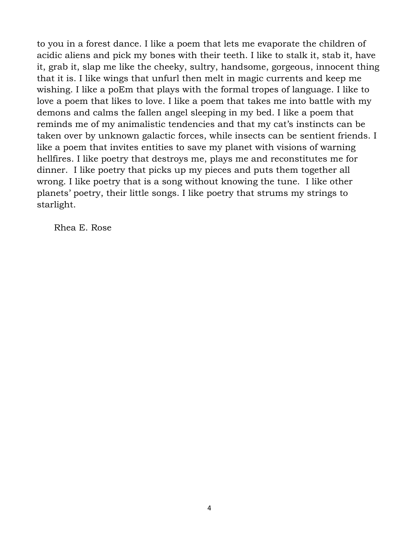to you in a forest dance. I like a poem that lets me evaporate the children of acidic aliens and pick my bones with their teeth. I like to stalk it, stab it, have it, grab it, slap me like the cheeky, sultry, handsome, gorgeous, innocent thing that it is. I like wings that unfurl then melt in magic currents and keep me wishing. I like a poEm that plays with the formal tropes of language. I like to love a poem that likes to love. I like a poem that takes me into battle with my demons and calms the fallen angel sleeping in my bed. I like a poem that reminds me of my animalistic tendencies and that my cat's instincts can be taken over by unknown galactic forces, while insects can be sentient friends. I like a poem that invites entities to save my planet with visions of warning hellfires. I like poetry that destroys me, plays me and reconstitutes me for dinner. I like poetry that picks up my pieces and puts them together all wrong. I like poetry that is a song without knowing the tune. I like other planets' poetry, their little songs. I like poetry that strums my strings to starlight.

Rhea E. Rose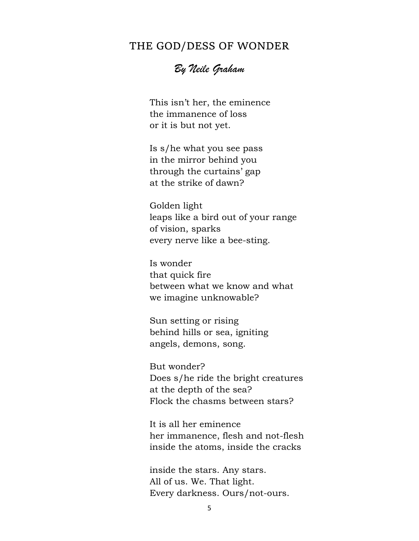## THE GOD/DESS OF WONDER

*By Neile Graham*

 This isn't her, the eminence the immanence of loss or it is but not yet.

 Is s/he what you see pass in the mirror behind you through the curtains' gap at the strike of dawn?

 Golden light leaps like a bird out of your range of vision, sparks every nerve like a bee-sting.

 Is wonder that quick fire between what we know and what we imagine unknowable?

 Sun setting or rising behind hills or sea, igniting angels, demons, song.

 But wonder? Does s/he ride the bright creatures at the depth of the sea? Flock the chasms between stars?

 It is all her eminence her immanence, flesh and not-flesh inside the atoms, inside the cracks

 inside the stars. Any stars. All of us. We. That light. Every darkness. Ours/not-ours.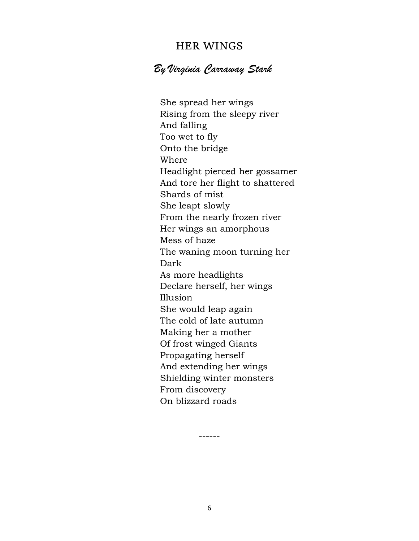## HER WINGS

# *By Virginia Carraway Stark*

She spread her wings Rising from the sleepy river And falling Too wet to fly Onto the bridge Where Headlight pierced her gossamer And tore her flight to shattered Shards of mist She leapt slowly From the nearly frozen river Her wings an amorphous Mess of haze The waning moon turning her Dark As more headlights Declare herself, her wings Illusion She would leap again The cold of late autumn Making her a mother Of frost winged Giants Propagating herself And extending her wings Shielding winter monsters From discovery On blizzard roads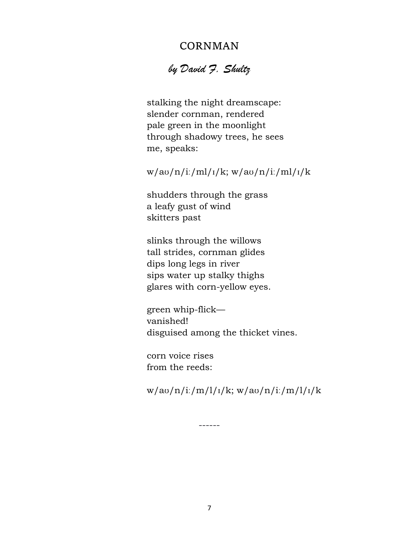# CORNMAN

# *by David F. Shultz*

 stalking the night dreamscape: slender cornman, rendered pale green in the moonlight through shadowy trees, he sees me, speaks:

## w/aʊ/n/iː/ml/ɪ/k; w/aʊ/n/iː/ml/ɪ/k

 shudders through the grass a leafy gust of wind skitters past

 slinks through the willows tall strides, cornman glides dips long legs in river sips water up stalky thighs glares with corn-yellow eyes.

 green whip-flick vanished! disguised among the thicket vines.

 corn voice rises from the reeds:

 $w/av/n/i$ :/m/l/<sub>I</sub>/k;  $w/av/n/i$ :/m/l/<sub>I</sub>/k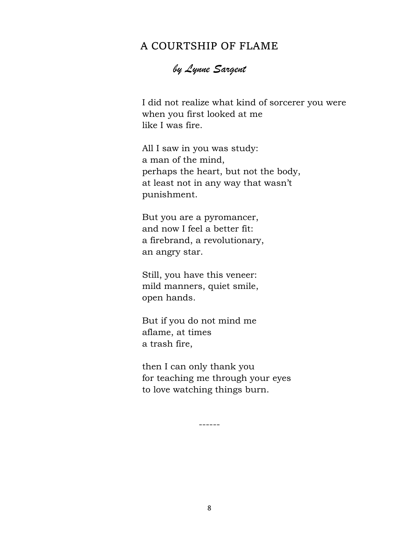# A COURTSHIP OF FLAME

*by Lynne Sargent*

 I did not realize what kind of sorcerer you were when you first looked at me like I was fire.

 All I saw in you was study: a man of the mind, perhaps the heart, but not the body, at least not in any way that wasn't punishment.

 But you are a pyromancer, and now I feel a better fit: a firebrand, a revolutionary, an angry star.

 Still, you have this veneer: mild manners, quiet smile, open hands.

 But if you do not mind me aflame, at times a trash fire,

 then I can only thank you for teaching me through your eyes to love watching things burn.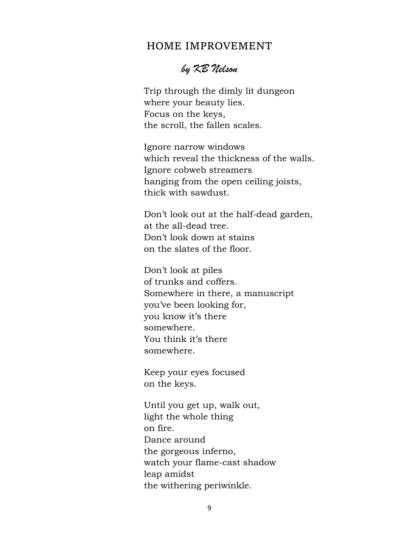### HOME IMPROVEMENT

# *by KB Nelson*

 Trip through the dimly lit dungeon where your beauty lies. Focus on the keys, the scroll, the fallen scales.

 Ignore narrow windows which reveal the thickness of the walls. Ignore cobweb streamers hanging from the open ceiling joists, thick with sawdust.

 Don't look out at the half-dead garden, at the all-dead tree. Don't look down at stains on the slates of the floor.

 Don't look at piles of trunks and coffers. Somewhere in there, a manuscript you've been looking for, you know it's there somewhere. You think it's there somewhere.

 Keep your eyes focused on the keys.

 Until you get up, walk out, light the whole thing on fire. Dance around the gorgeous inferno, watch your flame-cast shadow leap amidst the withering periwinkle.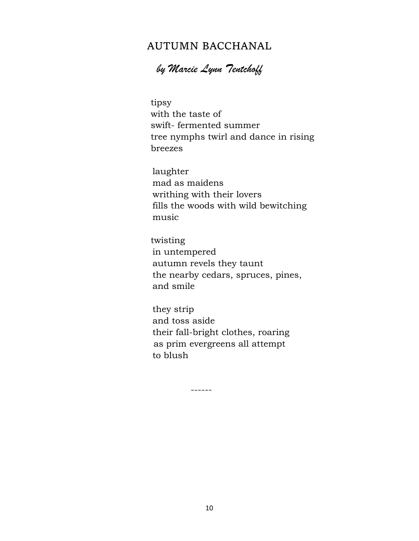# AUTUMN BACCHANAL

*by Marcie Lynn Tentchoff*

 tipsy with the taste of swift- fermented summer tree nymphs twirl and dance in rising breezes

 laughter mad as maidens writhing with their lovers fills the woods with wild bewitching music

 twisting in untempered autumn revels they taunt the nearby cedars, spruces, pines, and smile

 they strip and toss aside their fall-bright clothes, roaring as prim evergreens all attempt to blush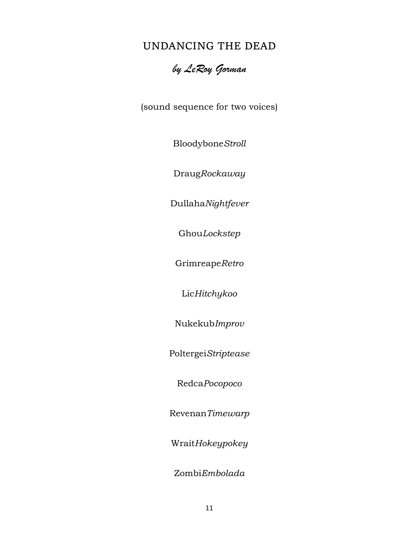# UNDANCING THE DEAD

# *by LeRoy Gorman*

(sound sequence for two voices)

Bloodybone*Stroll*

Draug*Rockaway*

Dullaha*Nightfever*

Ghou*Lockstep*

Grimreape*Retro*

Lic*Hitchykoo*

Nukekub*Improv*

Poltergei*Striptease*

Redca*Pocopoco*

Revenan*Timewarp*

Wrait*Hokeypokey* 

Zombi*Embolada*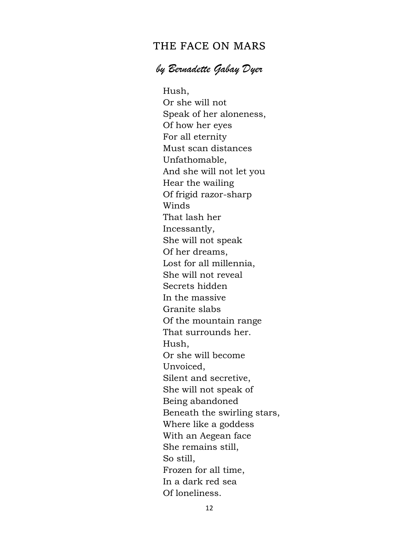## THE FACE ON MARS

# *by Bernadette Gabay Dyer*

Hush, Or she will not Speak of her aloneness, Of how her eyes For all eternity Must scan distances Unfathomable, And she will not let you Hear the wailing Of frigid razor-sharp Winds That lash her Incessantly, She will not speak Of her dreams, Lost for all millennia, She will not reveal Secrets hidden In the massive Granite slabs Of the mountain range That surrounds her. Hush, Or she will become Unvoiced, Silent and secretive, She will not speak of Being abandoned Beneath the swirling stars, Where like a goddess With an Aegean face She remains still, So still, Frozen for all time, In a dark red sea Of loneliness.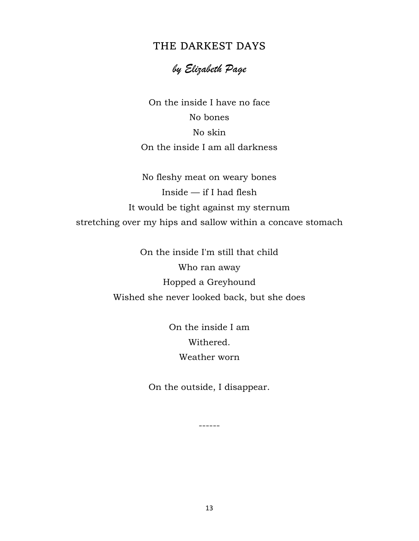## THE DARKEST DAYS

# *by Elizabeth Page*

On the inside I have no face No bones No skin On the inside I am all darkness

No fleshy meat on weary bones Inside — if I had flesh It would be tight against my sternum stretching over my hips and sallow within a concave stomach

> On the inside I'm still that child Who ran away Hopped a Greyhound Wished she never looked back, but she does

> > On the inside I am Withered. Weather worn

On the outside, I disappear.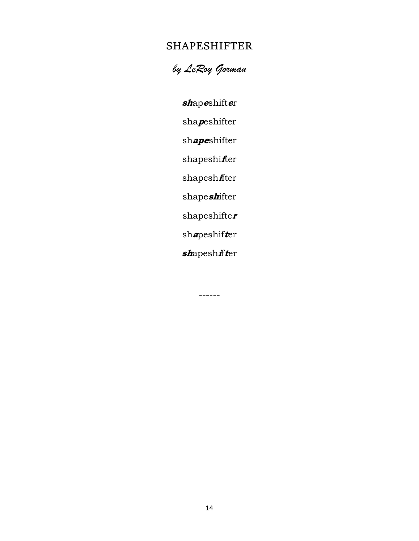# SHAPESHIFTER

*by LeRoy Gorman*

**sh**ap**e**shift**e**r

sha**p**eshifter

sh**ape**shifter

shapeshi**f**ter

shapesh**i**fter

shape**sh**ifter

shapeshifte**<sup>r</sup>**

sh**a**peshif**t**er

**sh**apesh**i**f**t**er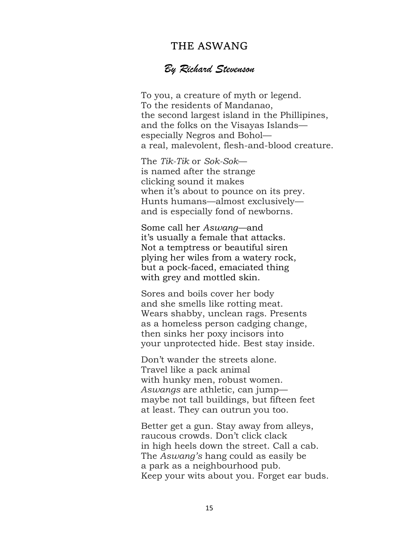## THE ASWANG

### *By Richard Stevenson*

 To you, a creature of myth or legend. To the residents of Mandanao, the second largest island in the Phillipines, and the folks on the Visayas Islands especially Negros and Bohol a real, malevolent, flesh-and-blood creature.

 The *Tik-Tik* or *Sok-Sok* is named after the strange clicking sound it makes when it's about to pounce on its prey. Hunts humans—almost exclusively and is especially fond of newborns.

 Some call her *Aswang—*and it's usually a female that attacks. Not a temptress or beautiful siren plying her wiles from a watery rock, but a pock-faced, emaciated thing with grey and mottled skin.

 Sores and boils cover her body and she smells like rotting meat. Wears shabby, unclean rags. Presents as a homeless person cadging change, then sinks her poxy incisors into your unprotected hide. Best stay inside.

 Don't wander the streets alone. Travel like a pack animal with hunky men, robust women.  *Aswangs* are athletic, can jump maybe not tall buildings, but fifteen feet at least. They can outrun you too.

 Better get a gun. Stay away from alleys, raucous crowds. Don't click clack in high heels down the street. Call a cab. The *Aswang's* hang could as easily be a park as a neighbourhood pub. Keep your wits about you. Forget ear buds.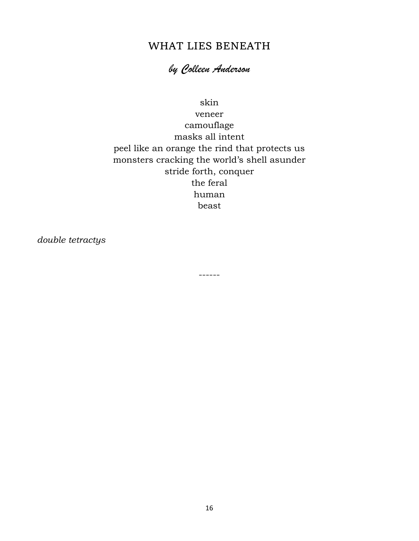# WHAT LIES BENEATH

# *by Colleen Anderson*

### skin

veneer camouflage masks all intent peel like an orange the rind that protects us monsters cracking the world's shell asunder stride forth, conquer the feral human beast

------

*double tetractys*

16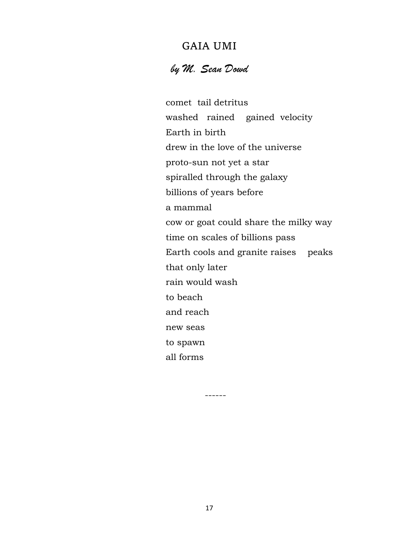# GAIA UMI

# *by M. Sean Dowd*

 comet tail detritus washed rained gained velocity Earth in birth drew in the love of the universe proto-sun not yet a star spiralled through the galaxy billions of years before a mammal cow or goat could share the milky way time on scales of billions pass Earth cools and granite raises peaks that only later rain would wash to beach and reach new seas to spawn all forms

17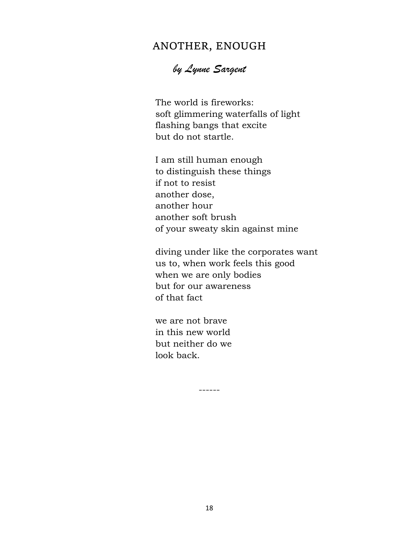# ANOTHER, ENOUGH

# *by Lynne Sargent*

 The world is fireworks: soft glimmering waterfalls of light flashing bangs that excite but do not startle.

 I am still human enough to distinguish these things if not to resist another dose, another hour another soft brush of your sweaty skin against mine

 diving under like the corporates want us to, when work feels this good when we are only bodies but for our awareness of that fact

 we are not brave in this new world but neither do we look back.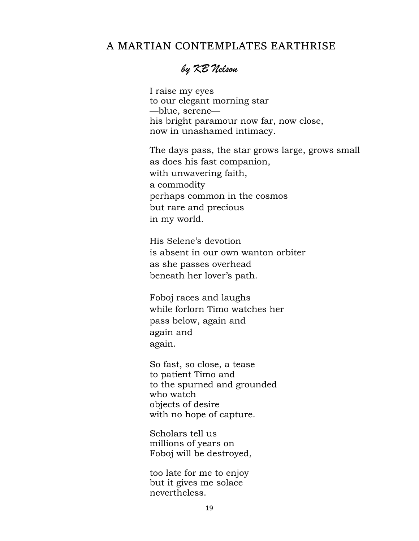## A MARTIAN CONTEMPLATES EARTHRISE

# *by KB Nelson*

 I raise my eyes to our elegant morning star —blue, serene his bright paramour now far, now close, now in unashamed intimacy.

 The days pass, the star grows large, grows small as does his fast companion, with unwavering faith, a commodity perhaps common in the cosmos but rare and precious in my world.

 His Selene's devotion is absent in our own wanton orbiter as she passes overhead beneath her lover's path.

 Foboj races and laughs while forlorn Timo watches her pass below, again and again and again.

 So fast, so close, a tease to patient Timo and to the spurned and grounded who watch objects of desire with no hope of capture.

 Scholars tell us millions of years on Foboj will be destroyed,

 too late for me to enjoy but it gives me solace nevertheless.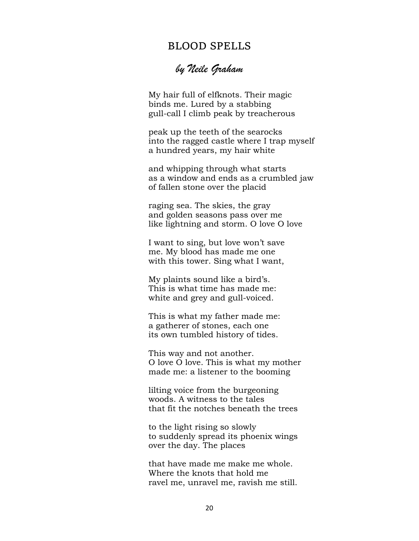### BLOOD SPELLS

# *by Neile Graham*

 My hair full of elfknots. Their magic binds me. Lured by a stabbing gull-call I climb peak by treacherous

 peak up the teeth of the searocks into the ragged castle where I trap myself a hundred years, my hair white

 and whipping through what starts as a window and ends as a crumbled jaw of fallen stone over the placid

 raging sea. The skies, the gray and golden seasons pass over me like lightning and storm. O love O love

 I want to sing, but love won't save me. My blood has made me one with this tower. Sing what I want,

 My plaints sound like a bird's. This is what time has made me: white and grey and gull-voiced.

 This is what my father made me: a gatherer of stones, each one its own tumbled history of tides.

 This way and not another. O love O love. This is what my mother made me: a listener to the booming

 lilting voice from the burgeoning woods. A witness to the tales that fit the notches beneath the trees

 to the light rising so slowly to suddenly spread its phoenix wings over the day. The places

 that have made me make me whole. Where the knots that hold me ravel me, unravel me, ravish me still.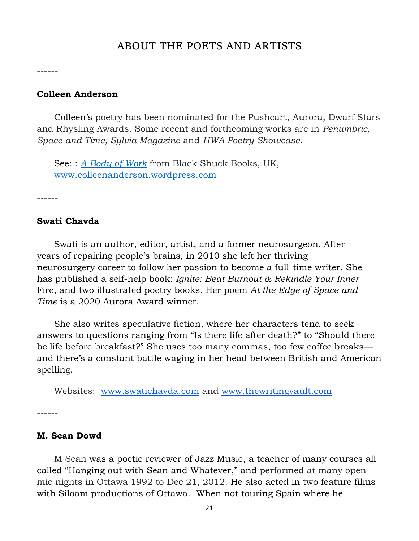## ABOUT THE POETS AND ARTISTS

------

### **Colleen Anderson**

 Colleen's poetry has been nominated for the Pushcart, Aurora, Dwarf Stars and Rhysling Awards. Some recent and forthcoming works are in *Penumbric, Space and Time, Sylvia Magazine* and *HWA Poetry Showcase*.

 See: : *[A Body of Work](https://blackshuckbooks.co.uk/a-body-of-work/)* from Black Shuck Books, UK, [www.colleenanderson.wordpress.com](http://www.colleenanderson.wordpress.com/)

------

#### **Swati Chavda**

 Swati is an author, editor, artist, and a former neurosurgeon. After years of repairing people's brains, in 2010 she left her thriving neurosurgery career to follow her passion to become a full-time writer. She has published a self-help book: *Ignite: Beat Burnout & Rekindle Your Inner*  Fire, and two illustrated poetry books*.* Her poem *At the Edge of Space and Time* is a 2020 Aurora Award winner.

 She also writes speculative fiction, where her characters tend to seek answers to questions ranging from "Is there life after death?" to "Should there be life before breakfast?" She uses too many commas, too few coffee breaks and there's a constant battle waging in her head between British and American spelling.

Websites: [www.swatichavda.com](https://www.swatichavda.com/) and [www.thewritingvault.com](https://thewritingvault.com/)

------

### **M. Sean Dowd**

 M Sean was a poetic reviewer of Jazz Music, a teacher of many courses all called "Hanging out with Sean and Whatever," and performed at many open mic nights in Ottawa 1992 to Dec 21, 2012. He also acted in two feature films with Siloam productions of Ottawa. When not touring Spain where he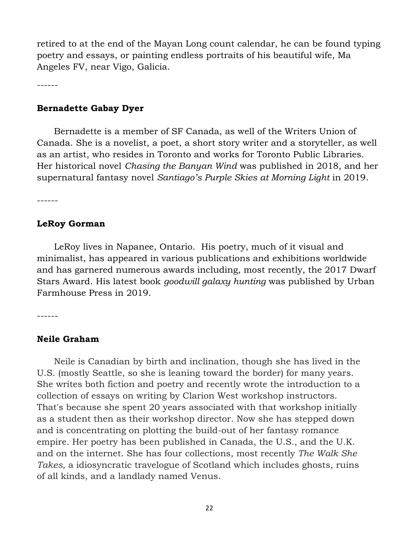retired to at the end of the Mayan Long count calendar, he can be found typing poetry and essays, or painting endless portraits of his beautiful wife, Ma Angeles FV, near Vigo, Galicia.

------

#### **Bernadette Gabay Dyer**

 Bernadette is a member of SF Canada, as well of the Writers Union of Canada. She is a novelist, a poet, a short story writer and a storyteller, as well as an artist, who resides in Toronto and works for Toronto Public Libraries. Her historical novel *Chasing the Banyan Wind* was published in 2018, and her supernatural fantasy novel *Santiago's Purple Skies at Morning Light* in 2019.

------

### **LeRoy Gorman**

 LeRoy lives in Napanee, Ontario. His poetry, much of it visual and minimalist, has appeared in various publications and exhibitions worldwide and has garnered numerous awards including, most recently, the 2017 Dwarf Stars Award. His latest book *goodwill galaxy hunting* was published by Urban Farmhouse Press in 2019.

------

### **Neile Graham**

 Neile is Canadian by birth and inclination, though she has lived in the U.S. (mostly Seattle, so she is leaning toward the border) for many years. She writes both fiction and poetry and recently wrote the introduction to a collection of essays on writing by Clarion West workshop instructors. That's because she spent 20 years associated with that workshop initially as a student then as their workshop director. Now she has stepped down and is concentrating on plotting the build-out of her fantasy romance empire. Her poetry has been published in Canada, the U.S., and the U.K. and on the internet. She has four collections, most recently *The Walk She Takes*, a idiosyncratic travelogue of Scotland which includes ghosts, ruins of all kinds, and a landlady named Venus.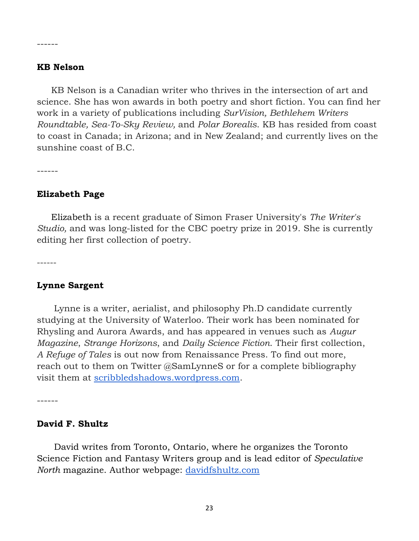#### **KB Nelson**

------

 KB Nelson is a Canadian writer who thrives in the intersection of art and science. She has won awards in both poetry and short fiction. You can find her work in a variety of publications including *SurVision, Bethlehem Writers Roundtable, Sea-To-Sky Review,* and *Polar Borealis*. KB has resided from coast to coast in Canada; in Arizona; and in New Zealand; and currently lives on the sunshine coast of B.C.

------

#### **Elizabeth Page**

 Elizabeth is a recent graduate of Simon Fraser University's *The Writer's Studio,* and was long-listed for the CBC poetry prize in 2019. She is currently editing her first collection of poetry.

------

#### **Lynne Sargent**

 Lynne is a writer, aerialist, and philosophy Ph.D candidate currently studying at the University of Waterloo. Their work has been nominated for Rhysling and Aurora Awards, and has appeared in venues such as *Augur Magazine*, *Strange Horizons*, and *Daily Science Fiction*. Their first collection, *A Refuge of Tales* is out now from Renaissance Press. To find out more, reach out to them on Twitter @SamLynneS or for a complete bibliography visit them at [scribbledshadows.wordpress.com.](http://scribbledshadows.wordpress.com/)

------

#### **David F. Shultz**

 David writes from Toronto, Ontario, where he organizes the Toronto Science Fiction and Fantasy Writers group and is lead editor of *Speculative North* magazine. Author webpage: [davidfshultz.com](https://davidfshultz.com/about/)